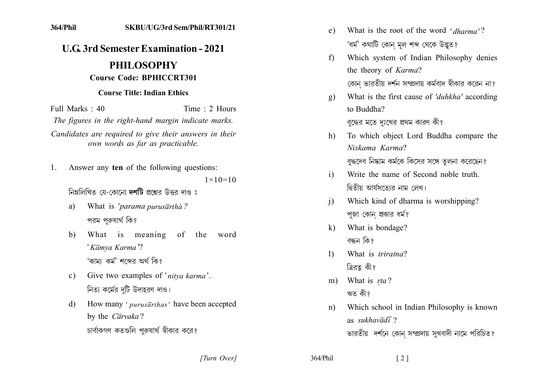## **U.G. 3rd Semester Examination - 2021** PHILOSOPHY

## **Course Code: BPHICCRT301**

## **Course Title: Indian Ethics**

Full Marks  $\cdot$  40 Time : 2 Hours The figures in the right-hand margin indicate marks. Candidates are required to give their answers in their own words as far as practicable.

Answer any ten of the following questions:  $\mathbf{1}$ .  $1 \times 10 = 10$ 

নিম্নলিখিত যে-কোনো দশটি প্রশ্নের উত্তর দাও ঃ

- What is 'parama purusartha?  $a)$ পরম পরুষার্থ কি?
- What is meaning of the  $\mathbf{b}$ word 'Kāmya Karma'? 'কাম্য কর্ম' শব্দের অর্থ কি?
- Give two examples of 'nitya karma'.  $c)$ নিত্য কর্মের দটি উদাহরণ দাও।
- How many ' purusarthas' have been accepted d) by the Carvaka? চার্বাকগণ কতগুলি পুরুষার্থ স্বীকার করে?
- What is the root of the word 'dharma'? e) 'ধৰ্ম' কথাটি কোন মল শব্দ থেকে উদ্ভত?
- Which system of Indian Philosophy denies  $f$ the theory of Karma? কোন ভারতীয় দর্শন সম্প্রদায় কর্মবাদ স্বীকার করেন না?
- What is the first cause of 'duhkha' according  $g)$ to Buddha? বুদ্ধের মতে দুঃখের প্রথম কারণ কী?
- To which object Lord Buddha compare the  $h)$ Niskama Karma? বদ্ধদেব নিষ্কাম কর্মকে কিসের সঙ্গে তলনা করেছেন?
- Write the name of Second noble truth  $i)$ দ্বিতীয় আর্যসত্যের নাম লেখ।
- Which kind of dharma is worshipping?  $\overline{1}$ পজা কোন প্রকার ধর্ম?
- What is bondage?  $\bf k$ বন্ধন কিং
- What is *triratna*?  $\mathbf{D}$ ত্রিরত্ব কী?
- What is rta?  $m$ ) ঋত কী?
- Which school in Indian Philosophy is known  $n)$ as sukhav $\overline{a}d\overline{i}$ ? ভারতীয় দর্শনে কোন সম্প্রদায় সুখবাদী নামে পরিচিত?

[Turn Over]

364/Phil

 $\lceil 2 \rceil$